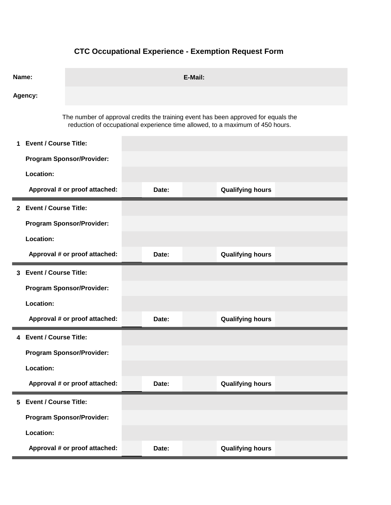## **CTC Occupational Experience - Exemption Request Form**

| Name:   |                                                                                    | E-Mail:                          |  |       |  |                                                                               |  |  |  |
|---------|------------------------------------------------------------------------------------|----------------------------------|--|-------|--|-------------------------------------------------------------------------------|--|--|--|
| Agency: |                                                                                    |                                  |  |       |  |                                                                               |  |  |  |
|         | The number of approval credits the training event has been approved for equals the |                                  |  |       |  | reduction of occupational experience time allowed, to a maximum of 450 hours. |  |  |  |
|         | 1 Event / Course Title:                                                            |                                  |  |       |  |                                                                               |  |  |  |
|         |                                                                                    | <b>Program Sponsor/Provider:</b> |  |       |  |                                                                               |  |  |  |
|         | Location:                                                                          |                                  |  |       |  |                                                                               |  |  |  |
|         |                                                                                    | Approval # or proof attached:    |  | Date: |  | <b>Qualifying hours</b>                                                       |  |  |  |
|         | 2 Event / Course Title:                                                            |                                  |  |       |  |                                                                               |  |  |  |
|         |                                                                                    | <b>Program Sponsor/Provider:</b> |  |       |  |                                                                               |  |  |  |
|         | Location:                                                                          |                                  |  |       |  |                                                                               |  |  |  |
|         |                                                                                    | Approval # or proof attached:    |  | Date: |  | <b>Qualifying hours</b>                                                       |  |  |  |
|         | 3 Event / Course Title:                                                            |                                  |  |       |  |                                                                               |  |  |  |
|         |                                                                                    | <b>Program Sponsor/Provider:</b> |  |       |  |                                                                               |  |  |  |
|         |                                                                                    |                                  |  |       |  |                                                                               |  |  |  |
|         | Location:                                                                          |                                  |  |       |  |                                                                               |  |  |  |
|         |                                                                                    | Approval # or proof attached:    |  | Date: |  | <b>Qualifying hours</b>                                                       |  |  |  |
|         | 4 Event / Course Title:                                                            |                                  |  |       |  |                                                                               |  |  |  |
|         |                                                                                    | <b>Program Sponsor/Provider:</b> |  |       |  |                                                                               |  |  |  |
|         | Location:                                                                          |                                  |  |       |  |                                                                               |  |  |  |
|         |                                                                                    | Approval # or proof attached:    |  | Date: |  | <b>Qualifying hours</b>                                                       |  |  |  |
| 5.      | <b>Event / Course Title:</b>                                                       |                                  |  |       |  |                                                                               |  |  |  |
|         |                                                                                    | <b>Program Sponsor/Provider:</b> |  |       |  |                                                                               |  |  |  |
|         | Location:                                                                          |                                  |  |       |  |                                                                               |  |  |  |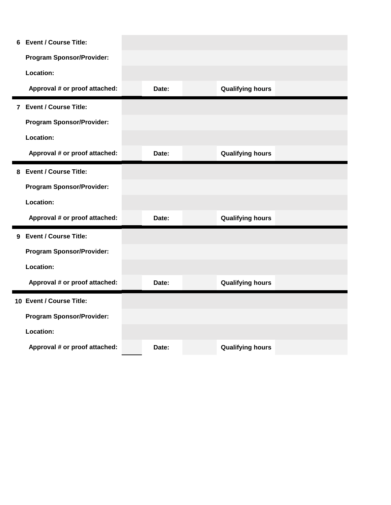| 6 | <b>Event / Course Title:</b>     |  |       |                         |  |
|---|----------------------------------|--|-------|-------------------------|--|
|   | <b>Program Sponsor/Provider:</b> |  |       |                         |  |
|   | Location:                        |  |       |                         |  |
|   | Approval # or proof attached:    |  | Date: | <b>Qualifying hours</b> |  |
|   | 7 Event / Course Title:          |  |       |                         |  |
|   | <b>Program Sponsor/Provider:</b> |  |       |                         |  |
|   | Location:                        |  |       |                         |  |
|   | Approval # or proof attached:    |  | Date: | <b>Qualifying hours</b> |  |
|   | 8 Event / Course Title:          |  |       |                         |  |
|   | <b>Program Sponsor/Provider:</b> |  |       |                         |  |
|   | Location:                        |  |       |                         |  |
|   | Approval # or proof attached:    |  | Date: | <b>Qualifying hours</b> |  |
|   | 9 Event / Course Title:          |  |       |                         |  |
|   | <b>Program Sponsor/Provider:</b> |  |       |                         |  |
|   | Location:                        |  |       |                         |  |
|   | Approval # or proof attached:    |  | Date: | <b>Qualifying hours</b> |  |
|   | 10 Event / Course Title:         |  |       |                         |  |
|   | <b>Program Sponsor/Provider:</b> |  |       |                         |  |
|   |                                  |  |       |                         |  |
|   | Location:                        |  |       |                         |  |